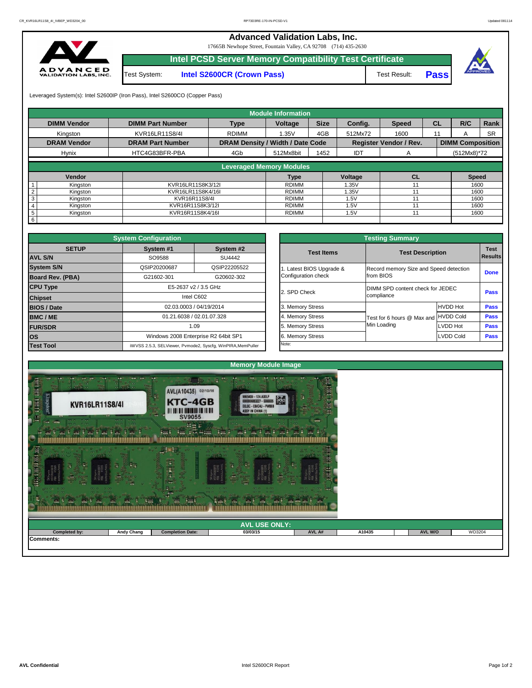

Leveraged System(s): Intel S2600IP (Iron Pass), Intel S2600CO (Copper Pass)

## **Advanced Validation Labs, Inc.**  17665B Newhope Street, Fountain Valley, CA 92708 (714) 435-2630 **Intel PCSD Server Memory Compatibility Test Certificate** A D V A N C E D<br>VALIDATION LABS, INC. Test System: **Intel S2600CR (Crown Pass)** Test Result: **Pass**



|                             |                         |                                         | <b>Module Information</b> |             |            |                               |           |                         |             |
|-----------------------------|-------------------------|-----------------------------------------|---------------------------|-------------|------------|-------------------------------|-----------|-------------------------|-------------|
| <b>DIMM Vendor</b>          | <b>DIMM Part Number</b> | <b>Type</b>                             | Voltage                   | <b>Size</b> | Config.    | <b>Speed</b>                  | <b>CL</b> | R/C                     | <b>Rank</b> |
| Kingston                    | KVR16LR11S8/4I          | <b>RDIMM</b>                            | 1.35V                     | 4GB         | 512Mx72    | 1600                          | 11        | A                       | <b>SR</b>   |
| <b>DRAM Vendor</b>          | <b>DRAM Part Number</b> | <b>DRAM Density / Width / Date Code</b> |                           |             |            | <b>Register Vendor / Rev.</b> |           | <b>DIMM Composition</b> |             |
| <b>Hynix</b>                | HTC4G83BFR-PBA          | 4Gb                                     | 512Mx8bit                 | 1452        | <b>IDT</b> | A                             |           | $(512Mx8)*72$           |             |
|                             |                         |                                         |                           |             |            |                               |           |                         |             |
|                             |                         | <b>Leveraged Memory Modules</b>         |                           |             |            |                               |           |                         |             |
| Vendor                      |                         |                                         | <b>Type</b>               |             | Voltage    | <b>CL</b>                     |           | <b>Speed</b>            |             |
| Kingston                    | KVR16LR11S8K3/12I       |                                         | <b>RDIMM</b>              |             | 1.35V      | 11                            |           | 1600                    |             |
| Kingston                    | KVR16LR11S8K4/16I       |                                         | <b>RDIMM</b>              |             | 1.35V      | 11                            |           | 1600                    |             |
| Kingston                    | KVR16R11S8/4I           |                                         | RDIMM                     |             | 1.5V       |                               |           | 1600                    |             |
| Kingston<br>4               | KVR16R11S8K3/12I        |                                         | <b>RDIMM</b>              |             | 1.5V       |                               |           | 1600                    |             |
| $5\phantom{.0}$<br>Kingston | KVR16R11S8K4/16I        |                                         | <b>RDIMM</b>              |             | 1.5V       | 11                            |           | 1600                    |             |
| 6                           |                         |                                         |                           |             |            |                               |           |                         |             |

|                                |                          | <b>Testing Summary</b>                         |                  |                               |
|--------------------------------|--------------------------|------------------------------------------------|------------------|-------------------------------|
| System <sub>#2</sub><br>SU4442 | <b>Test Items</b>        | <b>Test Description</b>                        |                  | <b>Test</b><br><b>Results</b> |
| SIP22205522                    | 1. Latest BIOS Upgrade & | Record memory Size and Speed detection         |                  |                               |
| G20602-302                     | Configuration check      | from BIOS                                      |                  | <b>Done</b>                   |
| ٦z.                            | 2. SPD Check             | DIMM SPD content check for JEDEC<br>compliance |                  | <b>Pass</b>                   |
| 014                            | 3. Memory Stress         |                                                | <b>HVDD Hot</b>  | <b>Pass</b>                   |
| .328                           | 4. Memory Stress         | Test for 6 hours @ Max and                     | <b>HVDD Cold</b> | <b>Pass</b>                   |
|                                | 5. Memory Stress         | Min Loading                                    | LVDD Hot         | <b>Pass</b>                   |
| 2 64bit SP1                    | 6. Memory Stress         |                                                | <b>LVDD Cold</b> | <b>Pass</b>                   |
| , WinPIRA, MemPuller           | Note:                    |                                                |                  |                               |

|                         | <b>System Configuration</b> |                                                             |                       | <b>Testing Summary</b>                 |                 |                |
|-------------------------|-----------------------------|-------------------------------------------------------------|-----------------------|----------------------------------------|-----------------|----------------|
| <b>SETUP</b>            | System #1                   | System #2                                                   | <b>Test Items</b>     | <b>Test Description</b>                |                 | <b>Test</b>    |
| <b>AVL S/N</b>          | SO9588                      | SU4442                                                      |                       |                                        |                 | <b>Results</b> |
| <b>System S/N</b>       | QSIP20200687                | QSIP22205522                                                | Latest BIOS Upgrade & | Record memory Size and Speed detection |                 |                |
| <b>Board Rev. (PBA)</b> | G21602-301                  | G20602-302                                                  | Configuration check   | from BIOS                              |                 | <b>Done</b>    |
| <b>CPU Type</b>         |                             | E5-2637 v2 / 3.5 GHz                                        | 2. SPD Check          | DIMM SPD content check for JEDEC       |                 |                |
| <b>Chipset</b>          |                             | Intel C602                                                  |                       | compliance                             |                 | <b>Pass</b>    |
| <b>BIOS / Date</b>      |                             | 02.03.0003 / 04/19/2014                                     | 3. Memory Stress      |                                        | <b>HVDD Hot</b> | <b>Pass</b>    |
| <b>BMC/ME</b>           |                             | 01.21.6038 / 02.01.07.328                                   | 4. Memory Stress      | Test for 6 hours @ Max and             | HVDD Cold       | <b>Pass</b>    |
| <b>FUR/SDR</b>          |                             | 1.09                                                        | 5. Memory Stress      | Min Loading                            | LVDD Hot        | <b>Pass</b>    |
| <b>los</b>              |                             | Windows 2008 Enterprise R2 64bit SP1                        | 6. Memory Stress      |                                        | LVDD Cold       | <b>Pass</b>    |
| <b>Test Tool</b>        |                             | iWVSS 2.5.3, SELViewer, Pvmode2, Syscfg, WinPIRA, MemPuller | Note:                 |                                        |                 |                |

| $\cdots$<br>.<br>.<br><b>ANGE</b><br>-42 | <b>William</b><br>$\sim$<br><b>All</b> | $-766$<br>$+301$        | $-$<br>$-1$<br>$\sim$ $\sim$<br>$-$ 2M $-$ |        |        |         |        |
|------------------------------------------|----------------------------------------|-------------------------|--------------------------------------------|--------|--------|---------|--------|
|                                          |                                        |                         | <b>AVL USE ONLY:</b>                       |        |        |         |        |
| Completed by:<br>Comments:               | <b>Andy Chang</b>                      | <b>Completion Date:</b> | 03/03/15                                   | AVL A# | A10435 | AVL W/O | WD3204 |
|                                          |                                        |                         |                                            |        |        |         |        |